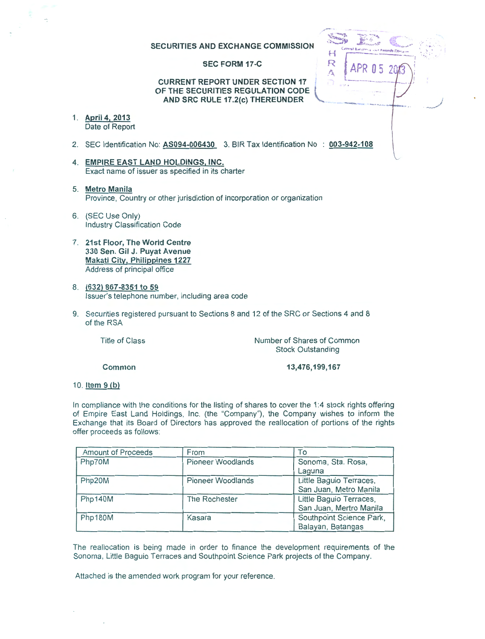## SECURITIES AND EXCHANGE COMMISSION

#### SEC FORM 17-C

## CURRENT REPORT UNDER SECTION 17 OF THE SECURITIES REGULATION CODE AND SRC RULE 17.2(c) THEREUNDER

- 1. April4, 2013 Date of Report
- 2. SEC Identification No: AS094-006430 3. BIR Tax Identification No : 003-942-108
- 4. EMPIRE EAST LAND HOLDINGS, INC. Exact name of issuer as specified in its charter
- 5. Metro Manila Province, Country or other jurisdiction of incorporation or organization
- 6. (SEC Use Only) Industry Classification Code
- 7. 21st Floor, The World Centre 330 Sen. Gil J. Puyat Avenue Makati City, Philippines 1227 Address of principal office
- 8. (632) 867-8351 to 59 Issuer's telephone number, including area code
- 9. Securities registered pursuant to Sections 8 and 12 of the SRC or Sections 4 and 8 of the RSA

Title of Class

Number of Shares of Common Stock Outstanding

Common

13,476,199,167

~ .. --.. -.. <sup>~</sup>

APR 05

 $\mathbf{H}$ R

Ã

 $\frac{1}{2}$ 

10. Item 9 (b)

In compliance with the conditions for the listing of shares to cover the 1:4 stock rights offering of Empire East Land Holdings, Inc. (the "Company"), the Company wishes to inform the Exchange that its Board of Directors has approved the reallocation of portions of the rights offer proceeds as follows:

| <b>Amount of Proceeds</b> | From                     | To                       |
|---------------------------|--------------------------|--------------------------|
| Php70M                    | <b>Pioneer Woodlands</b> | Sonoma, Sta. Rosa,       |
|                           |                          | Laguna                   |
| Php20M                    | <b>Pioneer Woodlands</b> | Little Baguio Terraces,  |
|                           |                          | San Juan, Metro Manila   |
| Php140M                   | The Rochester            | Little Baguio Terraces,  |
|                           |                          | San Juan, Mertro Manila  |
| Php180M                   | Kasara                   | Southpoint Science Park, |
|                           |                          | Balayan, Batangas        |

The reallocation is being made in order to finance the development requirements of the Sonoma, Little Baguio Terraces and Southpoint Science Park projects of the Company.

Attached is the amended work program for your reference.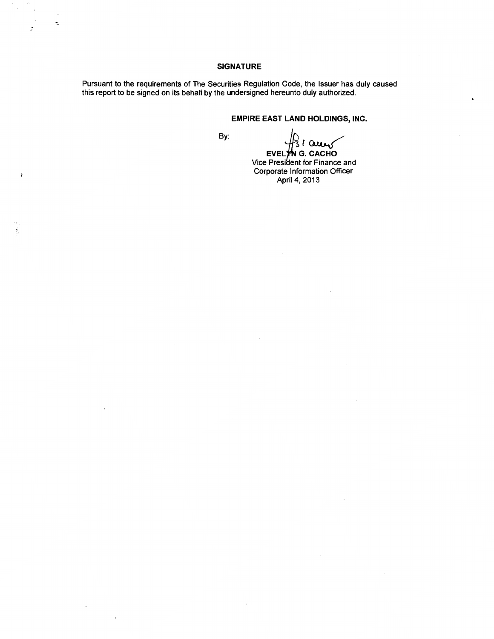## **SIGNATURE**

Pursuant to the requirements of The Securities Regulation Code, the Issuer has duly caused this report to be signed on its behalf by the undersigned hereunto duly authorized.

# **EMPIRE EAST LAND HOLDINGS, INC.**

By:

 $\ddot{\cdot}$ 

 $\overline{z}$ 

**EVELYNG. CACHO** 

Vice President for Finance and Corporate Information Officer April 4, 2013